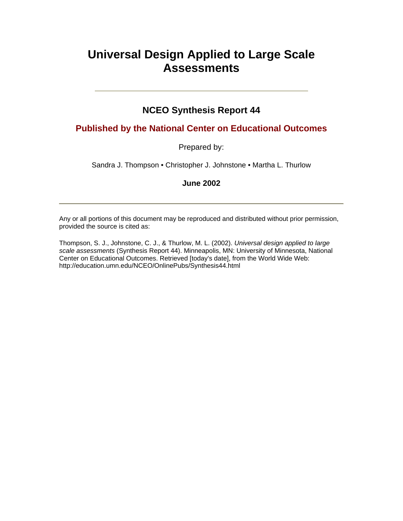# **Universal Design Applied to Large Scale Assessments**

# **NCEO Synthesis Report 44**

#### **Published by the National Center on Educational Outcomes**

#### Prepared by:

Sandra J. Thompson • Christopher J. Johnstone • Martha L. Thurlow

#### **June 2002**

Any or all portions of this document may be reproduced and distributed without prior permission, provided the source is cited as:

Thompson, S. J., Johnstone, C. J., & Thurlow, M. L. (2002). *Universal design applied to large scale assessments* (Synthesis Report 44). Minneapolis, MN: University of Minnesota, National Center on Educational Outcomes. Retrieved [today's date], from the World Wide Web: <http://education.umn.edu/NCEO/OnlinePubs/Synthesis44.html>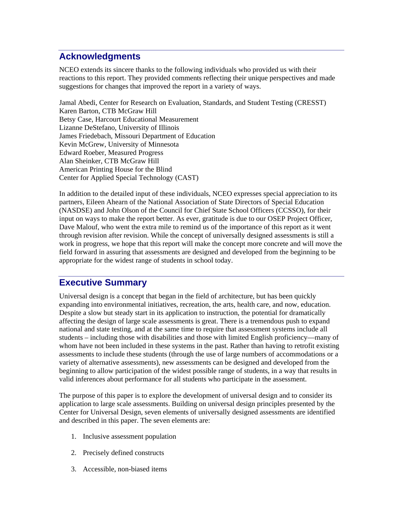# **Acknowledgments**

NCEO extends its sincere thanks to the following individuals who provided us with their reactions to this report. They provided comments reflecting their unique perspectives and made suggestions for changes that improved the report in a variety of ways.

Jamal Abedi, Center for Research on Evaluation, Standards, and Student Testing (CRESST) Karen Barton, CTB McGraw Hill Betsy Case, Harcourt Educational Measurement Lizanne DeStefano, University of Illinois James Friedebach, Missouri Department of Education Kevin McGrew, University of Minnesota Edward Roeber, Measured Progress Alan Sheinker, CTB McGraw Hill American Printing House for the Blind Center for Applied Special Technology (CAST)

 appropriate for the widest range of students in school today. In addition to the detailed input of these individuals, NCEO expresses special appreciation to its partners, Eileen Ahearn of the National Association of State Directors of Special Education (NASDSE) and John Olson of the Council for Chief State School Officers (CCSSO), for their input on ways to make the report better. As ever, gratitude is due to our OSEP Project Officer, Dave Malouf, who went the extra mile to remind us of the importance of this report as it went through revision after revision. While the concept of universally designed assessments is still a work in progress, we hope that this report will make the concept more concrete and will move the field forward in assuring that assessments are designed and developed from the beginning to be

# **Executive Summary**

Universal design is a concept that began in the field of architecture, but has been quickly expanding into environmental initiatives, recreation, the arts, health care, and now, education. Despite a slow but steady start in its application to instruction, the potential for dramatically affecting the design of large scale assessments is great. There is a tremendous push to expand national and state testing, and at the same time to require that assessment systems include all students – including those with disabilities and those with limited English proficiency—many of whom have not been included in these systems in the past. Rather than having to retrofit existing assessments to include these students (through the use of large numbers of accommodations or a variety of alternative assessments), new assessments can be designed and developed from the beginning to allow participation of the widest possible range of students, in a way that results in valid inferences about performance for all students who participate in the assessment.

The purpose of this paper is to explore the development of universal design and to consider its application to large scale assessments. Building on universal design principles presented by the Center for Universal Design, seven elements of universally designed assessments are identified and described in this paper. The seven elements are:

- 1. Inclusive assessment population
- 2. Precisely defined constructs
- 3. Accessible, non-biased items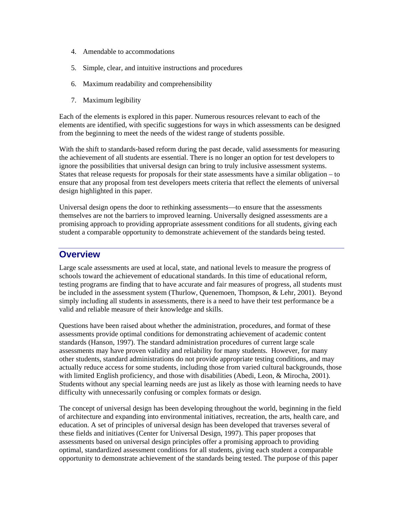- 4. Amendable to accommodations
- 5. Simple, clear, and intuitive instructions and procedures
- 6. Maximum readability and comprehensibility
- 7. Maximum legibility

Each of the elements is explored in this paper. Numerous resources relevant to each of the elements are identified, with specific suggestions for ways in which assessments can be designed from the beginning to meet the needs of the widest range of students possible.

With the shift to standards-based reform during the past decade, valid assessments for measuring the achievement of all students are essential. There is no longer an option for test developers to ignore the possibilities that universal design can bring to truly inclusive assessment systems. States that release requests for proposals for their state assessments have a similar obligation – to ensure that any proposal from test developers meets criteria that reflect the elements of universal design highlighted in this paper.

Universal design opens the door to rethinking assessments—to ensure that the assessments themselves are not the barriers to improved learning. Universally designed assessments are a promising approach to providing appropriate assessment conditions for all students, giving each student a comparable opportunity to demonstrate achievement of the standards being tested.

### **Overview**

Large scale assessments are used at local, state, and national levels to measure the progress of schools toward the achievement of educational standards. In this time of educational reform, testing programs are finding that to have accurate and fair measures of progress, all students must be included in the assessment system (Thurlow, Quenemoen, Thompson, & Lehr, 2001). Beyond simply including all students in assessments, there is a need to have their test performance be a valid and reliable measure of their knowledge and skills.

Questions have been raised about whether the administration, procedures, and format of these assessments provide optimal conditions for demonstrating achievement of academic content standards (Hanson, 1997). The standard administration procedures of current large scale assessments may have proven validity and reliability for many students. However, for many other students, standard administrations do not provide appropriate testing conditions, and may actually reduce access for some students, including those from varied cultural backgrounds, those with limited English proficiency, and those with disabilities (Abedi, Leon, & Mirocha, 2001). Students without any special learning needs are just as likely as those with learning needs to have difficulty with unnecessarily confusing or complex formats or design.

The concept of universal design has been developing throughout the world, beginning in the field of architecture and expanding into environmental initiatives, recreation, the arts, health care, and education. A set of principles of universal design has been developed that traverses several of these fields and initiatives (Center for Universal Design, 1997). This paper proposes that assessments based on universal design principles offer a promising approach to providing optimal, standardized assessment conditions for all students, giving each student a comparable opportunity to demonstrate achievement of the standards being tested. The purpose of this paper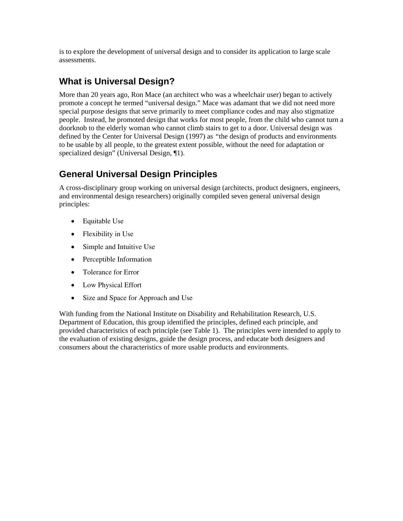is to explore the development of universal design and to consider its application to large scale assessments.

# **What is Universal Design?**

More than 20 years ago, Ron Mace (an architect who was a wheelchair user) began to actively promote a concept he termed "universal design." Mace was adamant that we did not need more special purpose designs that serve primarily to meet compliance codes and may also stigmatize people. Instead, he promoted design that works for most people, from the child who cannot turn a doorknob to the elderly woman who cannot climb stairs to get to a door. Universal design was defined by the Center for Universal Design (1997) as *"*the design of products and environments to be usable by all people, to the greatest extent possible, without the need for adaptation or specialized design" (Universal Design, 1).

# **General Universal Design Principles**

A cross-disciplinary group working on universal design (architects, product designers, engineers, and environmental design researchers) originally compiled seven general universal design principles:

- Equitable Use
- Flexibility in Use
- Simple and Intuitive Use
- Perceptible Information
- Tolerance for Error
- Low Physical Effort
- Size and Space for Approach and Use

With funding from the National Institute on Disability and Rehabilitation Research, U.S. Department of Education, this group identified the principles, defined each principle, and provided characteristics of each principle (see Table 1). The principles were intended to apply to the evaluation of existing designs, guide the design process, and educate both designers and consumers about the characteristics of more usable products and environments.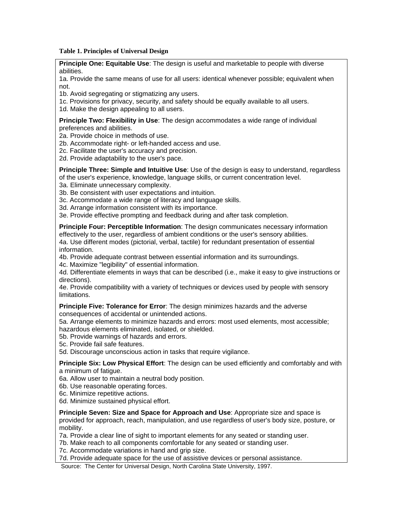#### **Table 1. Principles of Universal Design**

**Principle One: Equitable Use**: The design is useful and marketable to people with diverse abilities.

1a. Provide the same means of use for all users: identical whenever possible; equivalent when not.

1b. Avoid segregating or stigmatizing any users.

1c. Provisions for privacy, security, and safety should be equally available to all users.

1d. Make the design appealing to all users.

#### **Principle Two: Flexibility in Use**: The design accommodates a wide range of individual preferences and abilities.

2a. Provide choice in methods of use.

2b. Accommodate right- or left-handed access and use.

2c. Facilitate the user's accuracy and precision.

2d. Provide adaptability to the user's pace.

**Principle Three: Simple and Intuitive Use**: Use of the design is easy to understand, regardless of the user's experience, knowledge, language skills, or current concentration level.

3a. Eliminate unnecessary complexity.

3b. Be consistent with user expectations and intuition.

3c. Accommodate a wide range of literacy and language skills.

3d. Arrange information consistent with its importance.

3e. Provide effective prompting and feedback during and after task completion.

**Principle Four: Perceptible Information**: The design communicates necessary information

effectively to the user, regardless of ambient conditions or the user's sensory abilities. 4a. Use different modes (pictorial, verbal, tactile) for redundant presentation of essential information.

4b. Provide adequate contrast between essential information and its surroundings.

4c. Maximize "legibility" of essential information.

4d. Differentiate elements in ways that can be described (i.e., make it easy to give instructions or directions).

 limitations. 4e. Provide compatibility with a variety of techniques or devices used by people with sensory

**Principle Five: Tolerance for Error**: The design minimizes hazards and the adverse consequences of accidental or unintended actions.

5a. Arrange elements to minimize hazards and errors: most used elements, most accessible; hazardous elements eliminated, isolated, or shielded.

5b. Provide warnings of hazards and errors.

5c. Provide fail safe features.

5d. Discourage unconscious action in tasks that require vigilance.

**Principle Six: Low Physical Effort**: The design can be used efficiently and comfortably and with a minimum of fatigue.

6a. Allow user to maintain a neutral body position.

6b. Use reasonable operating forces.

6c. Minimize repetitive actions.

6d. Minimize sustained physical effort.

**Principle Seven: Size and Space for Approach and Use**: Appropriate size and space is provided for approach, reach, manipulation, and use regardless of user's body size, posture, or mobility.

7a. Provide a clear line of sight to important elements for any seated or standing user.

7b. Make reach to all components comfortable for any seated or standing user.

7c. Accommodate variations in hand and grip size.

7d. Provide adequate space for the use of assistive devices or personal assistance.

Source: The Center for Universal Design, North Carolina State University, 1997.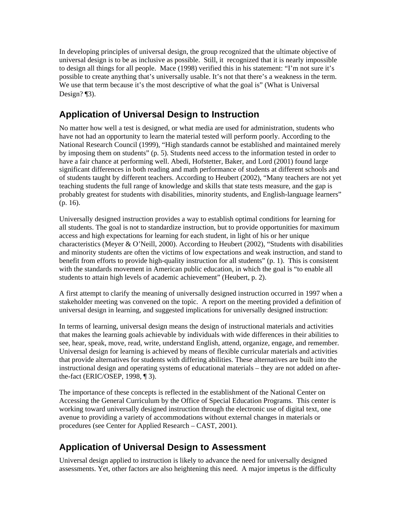In developing principles of universal design, the group recognized that the ultimate objective of universal design is to be as inclusive as possible. Still, it recognized that it is nearly impossible to design all things for all people. Mace (1998) verified this in his statement: "I'm not sure it's possible to create anything that's universally usable. It's not that there's a weakness in the term. We use that term because it's the most descriptive of what the goal is" (What is Universal Design? [3].

# **Application of Universal Design to Instruction**

No matter how well a test is designed, or what media are used for administration, students who have not had an opportunity to learn the material tested will perform poorly. According to the National Research Council (1999), "High standards cannot be established and maintained merely by imposing them on students" (p. 5). Students need access to the information tested in order to have a fair chance at performing well. Abedi, Hofstetter, Baker, and Lord (2001) found large significant differences in both reading and math performance of students at different schools and of students taught by different teachers. According to Heubert (2002), "Many teachers are not yet teaching students the full range of knowledge and skills that state tests measure, and the gap is probably greatest for students with disabilities, minority students, and English-language learners" (p. 16).

Universally designed instruction provides a way to establish optimal conditions for learning for all students. The goal is not to standardize instruction, but to provide opportunities for maximum access and high expectations for learning for each student, in light of his or her unique characteristics (Meyer & O'Neill, 2000). According to Heubert (2002), "Students with disabilities and minority students are often the victims of low expectations and weak instruction, and stand to benefit from efforts to provide high-quality instruction for all students" (p. 1). This is consistent with the standards movement in American public education, in which the goal is "to enable all students to attain high levels of academic achievement" (Heubert, p. 2).

A first attempt to clarify the meaning of universally designed instruction occurred in 1997 when a stakeholder meeting was convened on the topic. A report on the meeting provided a definition of universal design in learning, and suggested implications for universally designed instruction:

In terms of learning, universal design means the design of instructional materials and activities that makes the learning goals achievable by individuals with wide differences in their abilities to see, hear, speak, move, read, write, understand English, attend, organize, engage, and remember. Universal design for learning is achieved by means of flexible curricular materials and activities that provide alternatives for students with differing abilities. These alternatives are built into the instructional design and operating systems of educational materials – they are not added on afterthe-fact (ERIC/OSEP, 1998, ¶ 3).

The importance of these concepts is reflected in the establishment of the National Center on Accessing the General Curriculum by the Office of Special Education Programs. This center is working toward universally designed instruction through the electronic use of digital text, one avenue to providing a variety of accommodations without external changes in materials or procedures (see Center for Applied Research – CAST, 2001).

# **Application of Universal Design to Assessment**

Universal design applied to instruction is likely to advance the need for universally designed assessments. Yet, other factors are also heightening this need. A major impetus is the difficulty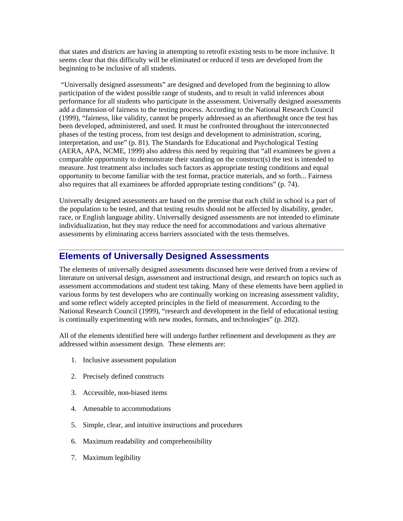that states and districts are having in attempting to retrofit existing tests to be more inclusive. It seems clear that this difficulty will be eliminated or reduced if tests are developed from the beginning to be inclusive of all students.

 "Universally designed assessments" are designed and developed from the beginning to allow participation of the widest possible range of students, and to result in valid inferences about performance for all students who participate in the assessment. Universally designed assessments add a dimension of fairness to the testing process. According to the National Research Council (1999), "fairness, like validity, cannot be properly addressed as an afterthought once the test has been developed, administered, and used. It must be confronted throughout the interconnected phases of the testing process, from test design and development to administration, scoring, interpretation, and use" (p. 81). The Standards for Educational and Psychological Testing (AERA, APA, NCME, 1999) also address this need by requiring that "all examinees be given a comparable opportunity to demonstrate their standing on the construct(s) the test is intended to measure. Just treatment also includes such factors as appropriate testing conditions and equal opportunity to become familiar with the test format, practice materials, and so forth... Fairness also requires that all examinees be afforded appropriate testing conditions" (p. 74).

 the population to be tested, and that testing results should not be affected by disability, gender, Universally designed assessments are based on the premise that each child in school is a part of race, or English language ability. Universally designed assessments are not intended to eliminate individualization, but they may reduce the need for accommodations and various alternative assessments by eliminating access barriers associated with the tests themselves.

### **Elements of Universally Designed Assessments**

The elements of universally designed assessments discussed here were derived from a review of literature on universal design, assessment and instructional design, and research on topics such as assessment accommodations and student test taking. Many of these elements have been applied in various forms by test developers who are continually working on increasing assessment validity, and some reflect widely accepted principles in the field of measurement. According to the National Research Council (1999), "research and development in the field of educational testing is continually experimenting with new modes, formats, and technologies" (p. 202).

All of the elements identified here will undergo further refinement and development as they are addressed within assessment design. These elements are:

- 1. Inclusive assessment population
- 2. Precisely defined constructs
- 3. Accessible, non-biased items
- 4. Amenable to accommodations
- 5. Simple, clear, and intuitive instructions and procedures
- 6. Maximum readability and comprehensibility 7. Maximum legibility
-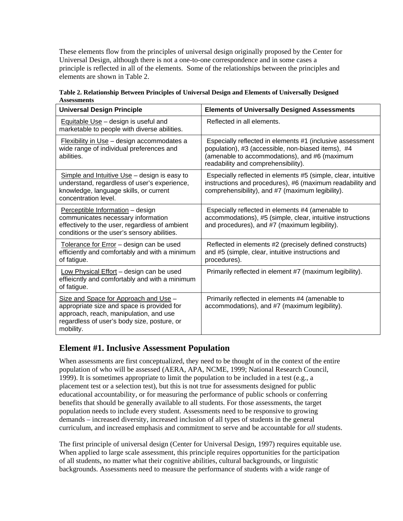These elements flow from the principles of universal design originally proposed by the Center for Universal Design, although there is not a one-to-one correspondence and in some cases a principle is reflected in all of the elements. Some of the relationships between the principles and elements are shown in Table 2.

| Table 2. Relationship Between Principles of Universal Design and Elements of Universally Designed |  |
|---------------------------------------------------------------------------------------------------|--|
| <b>Assessments</b>                                                                                |  |

| <b>Universal Design Principle</b>                                                                                                                                                         | <b>Elements of Universally Designed Assessments</b>                                                                                                                                                     |  |
|-------------------------------------------------------------------------------------------------------------------------------------------------------------------------------------------|---------------------------------------------------------------------------------------------------------------------------------------------------------------------------------------------------------|--|
| Equitable $Use - design$ is useful and<br>marketable to people with diverse abilities.                                                                                                    | Reflected in all elements.                                                                                                                                                                              |  |
| Flexibility in Use - design accommodates a<br>wide range of individual preferences and<br>abilities.                                                                                      | Especially reflected in elements #1 (inclusive assessment<br>population), #3 (accessible, non-biased items), #4<br>(amenable to accommodations), and #6 (maximum<br>readability and comprehensibility). |  |
| Simple and Intuitive Use - design is easy to<br>understand, regardless of user's experience,<br>knowledge, language skills, or current<br>concentration level.                            | Especially reflected in elements #5 (simple, clear, intuitive<br>instructions and procedures), #6 (maximum readability and<br>comprehensibility), and #7 (maximum legibility).                          |  |
| Perceptible Information - design<br>communicates necessary information<br>effectively to the user, regardless of ambient<br>conditions or the user's sensory abilities.                   | Especially reflected in elements #4 (amenable to<br>accommodations), #5 (simple, clear, intuitive instructions<br>and procedures), and #7 (maximum legibility).                                         |  |
| Tolerance for Error - design can be used<br>efficiently and comfortably and with a minimum<br>of fatigue.                                                                                 | Reflected in elements #2 (precisely defined constructs)<br>and #5 (simple, clear, intuitive instructions and<br>procedures).                                                                            |  |
| Low Physical Effort - design can be used<br>effieicntly and comfortably and with a minimum<br>of fatigue.                                                                                 | Primarily reflected in element #7 (maximum legibility).                                                                                                                                                 |  |
| Size and Space for Approach and Use -<br>appropriate size and space is provided for<br>approach, reach, manipulation, and use<br>regardless of user's body size, posture, or<br>mobility. | Primarily reflected in elements #4 (amenable to<br>accommodations), and #7 (maximum legibility).                                                                                                        |  |

### **Element #1. Inclusive Assessment Population**

When assessments are first conceptualized, they need to be thought of in the context of the entire population of who will be assessed (AERA, APA, NCME, 1999; National Research Council, 1999). It is sometimes appropriate to limit the population to be included in a test (e.g., a placement test or a selection test), but this is not true for assessments designed for public educational accountability, or for measuring the performance of public schools or conferring benefits that should be generally available to all students. For those assessments, the target population needs to include every student. Assessments need to be responsive to growing demands – increased diversity, increased inclusion of all types of students in the general curriculum, and increased emphasis and commitment to serve and be accountable for *all* students.

The first principle of universal design (Center for Universal Design, 1997) requires equitable use. When applied to large scale assessment, this principle requires opportunities for the participation of all students, no matter what their cognitive abilities, cultural backgrounds, or linguistic backgrounds. Assessments need to measure the performance of students with a wide range of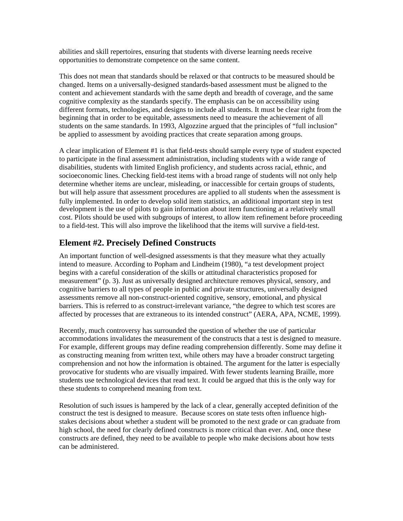abilities and skill repertoires, ensuring that students with diverse learning needs receive opportunities to demonstrate competence on the same content.

This does not mean that standards should be relaxed or that contructs to be measured should be changed. Items on a universally-designed standards-based assessment must be aligned to the content and achievement standards with the same depth and breadth of coverage, and the same cognitive complexity as the standards specify. The emphasis can be on accessibility using different formats, technologies, and designs to include all students. It must be clear right from the beginning that in order to be equitable, assessments need to measure the achievement of all students on the same standards. In 1993, Algozzine argued that the principles of "full inclusion" be applied to assessment by avoiding practices that create separation among groups.

A clear implication of Element #1 is that field-tests should sample every type of student expected to participate in the final assessment administration, including students with a wide range of disabilities, students with limited English proficiency, and students across racial, ethnic, and socioeconomic lines. Checking field-test items with a broad range of students will not only help determine whether items are unclear, misleading, or inaccessible for certain groups of students, but will help assure that assessment procedures are applied to all students when the assessment is fully implemented. In order to develop solid item statistics, an additional important step in test development is the use of pilots to gain information about item functioning at a relatively small cost. Pilots should be used with subgroups of interest, to allow item refinement before proceeding to a field-test. This will also improve the likelihood that the items will survive a field-test.

### **Element #2. Precisely Defined Constructs**

An important function of well-designed assessments is that they measure what they actually intend to measure. According to Popham and Lindheim (1980), "a test development project begins with a careful consideration of the skills or attitudinal characteristics proposed for measurement" (p. 3). Just as universally designed architecture removes physical, sensory, and cognitive barriers to all types of people in public and private structures, universally designed assessments remove all non-construct-oriented cognitive, sensory, emotional, and physical barriers. This is referred to as construct-irrelevant variance, "the degree to which test scores are affected by processes that are extraneous to its intended construct" (AERA, APA, NCME, 1999).

Recently, much controversy has surrounded the question of whether the use of particular accommodations invalidates the measurement of the constructs that a test is designed to measure. For example, different groups may define reading comprehension differently. Some may define it as constructing meaning from written text, while others may have a broader construct targeting comprehension and not how the information is obtained. The argument for the latter is especially provocative for students who are visually impaired. With fewer students learning Braille, more students use technological devices that read text. It could be argued that this is the only way for these students to comprehend meaning from text.

Resolution of such issues is hampered by the lack of a clear, generally accepted definition of the construct the test is designed to measure. Because scores on state tests often influence highstakes decisions about whether a student will be promoted to the next grade or can graduate from high school, the need for clearly defined constructs is more critical than ever. And, once these constructs are defined, they need to be available to people who make decisions about how tests can be administered.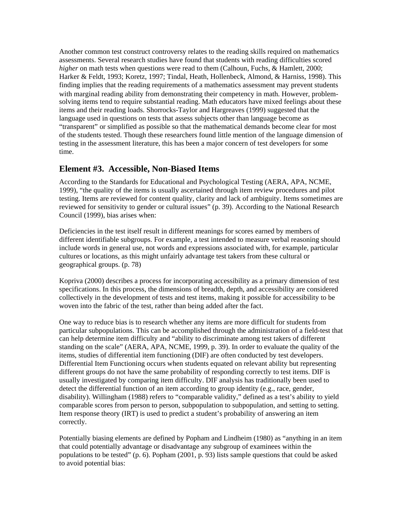Another common test construct controversy relates to the reading skills required on mathematics assessments. Several research studies have found that students with reading difficulties scored *higher* on math tests when questions were read to them (Calhoun, Fuchs, & Hamlett, 2000; Harker & Feldt, 1993; Koretz, 1997; Tindal, Heath, Hollenbeck, Almond, & Harniss, 1998). This finding implies that the reading requirements of a mathematics assessment may prevent students with marginal reading ability from demonstrating their competency in math. However, problemsolving items tend to require substantial reading. Math educators have mixed feelings about these items and their reading loads. Shorrocks-Taylor and Hargreaves (1999) suggested that the language used in questions on tests that assess subjects other than language become as "transparent" or simplified as possible so that the mathematical demands become clear for most of the students tested. Though these researchers found little mention of the language dimension of testing in the assessment literature, this has been a major concern of test developers for some time.

#### **Element #3. Accessible, Non-Biased Items**

According to the Standards for Educational and Psychological Testing (AERA, APA, NCME, 1999), "the quality of the items is usually ascertained through item review procedures and pilot testing. Items are reviewed for content quality, clarity and lack of ambiguity. Items sometimes are reviewed for sensitivity to gender or cultural issues" (p. 39). According to the National Research Council (1999), bias arises when:

Deficiencies in the test itself result in different meanings for scores earned by members of different identifiable subgroups. For example, a test intended to measure verbal reasoning should include words in general use, not words and expressions associated with, for example, particular cultures or locations, as this might unfairly advantage test takers from these cultural or geographical groups. (p. 78)

Kopriva (2000) describes a process for incorporating accessibility as a primary dimension of test specifications. In this process, the dimensions of breadth, depth, and accessibility are considered collectively in the development of tests and test items, making it possible for accessibility to be woven into the fabric of the test, rather than being added after the fact.

One way to reduce bias is to research whether any items are more difficult for students from particular subpopulations. This can be accomplished through the administration of a field-test that can help determine item difficulty and "ability to discriminate among test takers of different standing on the scale" (AERA, APA, NCME, 1999, p. 39). In order to evaluate the quality of the items, studies of differential item functioning (DIF) are often conducted by test developers. Differential Item Functioning occurs when students equated on relevant ability but representing different groups do not have the same probability of responding correctly to test items. DIF is usually investigated by comparing item difficulty. DIF analysis has traditionally been used to detect the differential function of an item according to group identity (e.g., race, gender, disability). Willingham (1988) refers to "comparable validity," defined as a test's ability to yield comparable scores from person to person, subpopulation to subpopulation, and setting to setting. Item response theory (IRT) is used to predict a student's probability of answering an item correctly.

Potentially biasing elements are defined by Popham and Lindheim (1980) as "anything in an item that could potentially advantage or disadvantage any subgroup of examinees within the populations to be tested" (p. 6). Popham (2001, p. 93) lists sample questions that could be asked to avoid potential bias: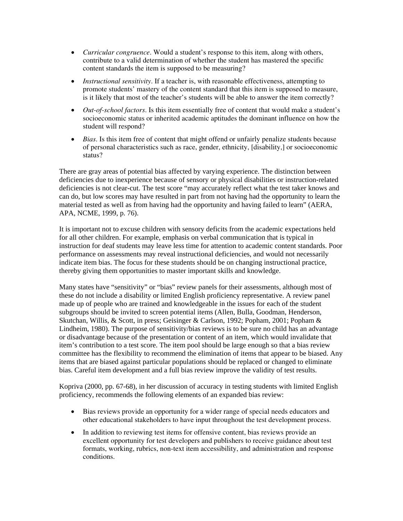- *Curricular congruence*. Would a student's response to this item, along with others, contribute to a valid determination of whether the student has mastered the specific content standards the item is supposed to be measuring?
- *Instructional sensitivity*. If a teacher is, with reasonable effectiveness, attempting to promote students' mastery of the content standard that this item is supposed to measure, is it likely that most of the teacher's students will be able to answer the item correctly?
- *Out-of-school factors*. Is this item essentially free of content that would make a student's socioeconomic status or inherited academic aptitudes the dominant influence on how the student will respond?
- *Bias*. Is this item free of content that might offend or unfairly penalize students because of personal characteristics such as race, gender, ethnicity, [disability,] or socioeconomic status?

There are gray areas of potential bias affected by varying experience. The distinction between deficiencies due to inexperience because of sensory or physical disabilities or instruction-related deficiencies is not clear-cut. The test score "may accurately reflect what the test taker knows and can do, but low scores may have resulted in part from not having had the opportunity to learn the material tested as well as from having had the opportunity and having failed to learn" (AERA, APA, NCME, 1999, p. 76).

It is important not to excuse children with sensory deficits from the academic expectations held for all other children. For example, emphasis on verbal communication that is typical in instruction for deaf students may leave less time for attention to academic content standards. Poor performance on assessments may reveal instructional deficiencies, and would not necessarily indicate item bias. The focus for these students should be on changing instructional practice, thereby giving them opportunities to master important skills and knowledge.

Many states have "sensitivity" or "bias" review panels for their assessments, although most of these do not include a disability or limited English proficiency representative. A review panel made up of people who are trained and knowledgeable in the issues for each of the student subgroups should be invited to screen potential items (Allen, Bulla, Goodman, Henderson, Skutchan, Willis, & Scott, in press; Geisinger & Carlson, 1992; Popham, 2001; Popham & Lindheim, 1980). The purpose of sensitivity/bias reviews is to be sure no child has an advantage or disadvantage because of the presentation or content of an item, which would invalidate that item's contribution to a test score. The item pool should be large enough so that a bias review committee has the flexibility to recommend the elimination of items that appear to be biased. Any items that are biased against particular populations should be replaced or changed to eliminate bias. Careful item development and a full bias review improve the validity of test results.

Kopriva (2000, pp. 67-68), in her discussion of accuracy in testing students with limited English proficiency, recommends the following elements of an expanded bias review:

- Bias reviews provide an opportunity for a wider range of special needs educators and other educational stakeholders to have input throughout the test development process.
- In addition to reviewing test items for offensive content, bias reviews provide an excellent opportunity for test developers and publishers to receive guidance about test formats, working, rubrics, non-text item accessibility, and administration and response conditions.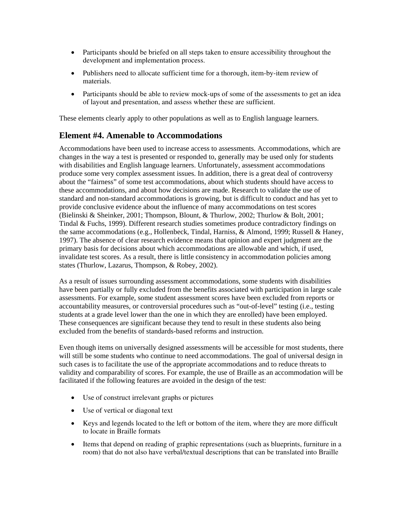- Participants should be briefed on all steps taken to ensure accessibility throughout the development and implementation process.
- Publishers need to allocate sufficient time for a thorough, item-by-item review of materials.
- Participants should be able to review mock-ups of some of the assessments to get an idea of layout and presentation, and assess whether these are sufficient.

These elements clearly apply to other populations as well as to English language learners.

#### **Element #4. Amenable to Accommodations**

Accommodations have been used to increase access to assessments. Accommodations, which are changes in the way a test is presented or responded to, generally may be used only for students with disabilities and English language learners. Unfortunately, assessment accommodations produce some very complex assessment issues. In addition, there is a great deal of controversy about the "fairness" of some test accommodations, about which students should have access to these accommodations, and about how decisions are made. Research to validate the use of standard and non-standard accommodations is growing, but is difficult to conduct and has yet to provide conclusive evidence about the influence of many accommodations on test scores (Bielinski & Sheinker, 2001; Thompson, Blount, & Thurlow, 2002; Thurlow & Bolt, 2001; Tindal & Fuchs, 1999). Different research studies sometimes produce contradictory findings on the same accommodations (e.g., Hollenbeck, Tindal, Harniss, & Almond, 1999; Russell & Haney, 1997). The absence of clear research evidence means that opinion and expert judgment are the primary basis for decisions about which accommodations are allowable and which, if used, invalidate test scores. As a result, there is little consistency in accommodation policies among states (Thurlow, Lazarus, Thompson, & Robey, 2002).

As a result of issues surrounding assessment accommodations, some students with disabilities have been partially or fully excluded from the benefits associated with participation in large scale assessments. For example, some student assessment scores have been excluded from reports or accountability measures, or controversial procedures such as "out-of-level" testing (i.e., testing students at a grade level lower than the one in which they are enrolled) have been employed. These consequences are significant because they tend to result in these students also being excluded from the benefits of standards-based reforms and instruction.

Even though items on universally designed assessments will be accessible for most students, there will still be some students who continue to need accommodations. The goal of universal design in such cases is to facilitate the use of the appropriate accommodations and to reduce threats to validity and comparability of scores. For example, the use of Braille as an accommodation will be facilitated if the following features are avoided in the design of the test:

- Use of construct irrelevant graphs or pictures
- Use of vertical or diagonal text
- Keys and legends located to the left or bottom of the item, where they are more difficult to locate in Braille formats
- Items that depend on reading of graphic representations (such as blueprints, furniture in a room) that do not also have verbal/textual descriptions that can be translated into Braille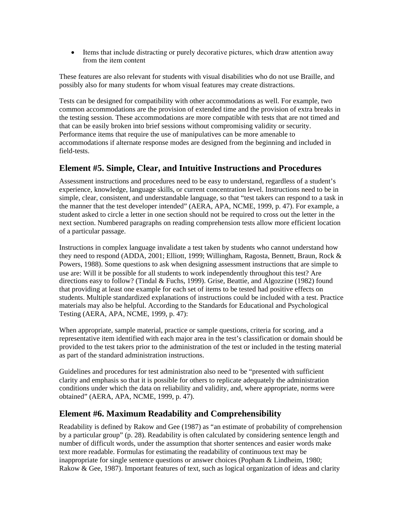• Items that include distracting or purely decorative pictures, which draw attention away from the item content

These features are also relevant for students with visual disabilities who do not use Braille, and possibly also for many students for whom visual features may create distractions.

Tests can be designed for compatibility with other accommodations as well. For example, two common accommodations are the provision of extended time and the provision of extra breaks in the testing session. These accommodations are more compatible with tests that are not timed and that can be easily broken into brief sessions without compromising validity or security. Performance items that require the use of manipulatives can be more amenable to accommodations if alternate response modes are designed from the beginning and included in field-tests.

#### **Element #5. Simple, Clear, and Intuitive Instructions and Procedures**

Assessment instructions and procedures need to be easy to understand, regardless of a student's experience, knowledge, language skills, or current concentration level. Instructions need to be in simple, clear, consistent, and understandable language, so that "test takers can respond to a task in the manner that the test developer intended" (AERA, APA, NCME, 1999, p. 47). For example, a student asked to circle a letter in one section should not be required to cross out the letter in the next section. Numbered paragraphs on reading comprehension tests allow more efficient location of a particular passage.

Instructions in complex language invalidate a test taken by students who cannot understand how they need to respond (ADDA, 2001; Elliott, 1999; Willingham, Ragosta, Bennett, Braun, Rock & Powers, 1988). Some questions to ask when designing assessment instructions that are simple to use are: Will it be possible for all students to work independently throughout this test? Are directions easy to follow? (Tindal & Fuchs, 1999). Grise, Beattie, and Algozzine (1982) found that providing at least one example for each set of items to be tested had positive effects on students. Multiple standardized explanations of instructions could be included with a test. Practice materials may also be helpful. According to the Standards for Educational and Psychological Testing (AERA, APA, NCME, 1999, p. 47):

When appropriate, sample material, practice or sample questions, criteria for scoring, and a representative item identified with each major area in the test's classification or domain should be provided to the test takers prior to the administration of the test or included in the testing material as part of the standard administration instructions.

Guidelines and procedures for test administration also need to be "presented with sufficient clarity and emphasis so that it is possible for others to replicate adequately the administration conditions under which the data on reliability and validity, and, where appropriate, norms were obtained" (AERA, APA, NCME, 1999, p. 47).

#### **Element #6. Maximum Readability and Comprehensibility**

Readability is defined by Rakow and Gee (1987) as "an estimate of probability of comprehension by a particular group" (p. 28). Readability is often calculated by considering sentence length and number of difficult words, under the assumption that shorter sentences and easier words make text more readable. Formulas for estimating the readability of continuous text may be inappropriate for single sentence questions or answer choices (Popham & Lindheim, 1980; Rakow & Gee, 1987). Important features of text, such as logical organization of ideas and clarity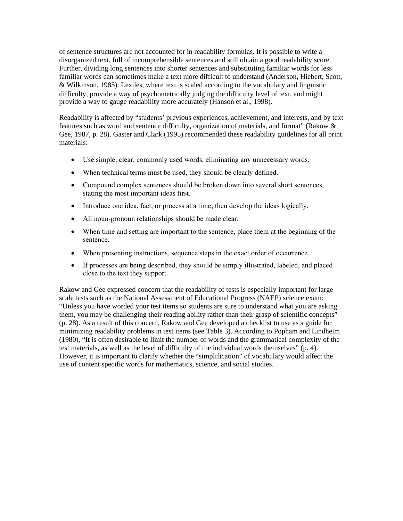of sentence structures are not accounted for in readability formulas. It is possible to write a disorganized text, full of incomprehensible sentences and still obtain a good readability score. Further, dividing long sentences into shorter sentences and substituting familiar words for less familiar words can sometimes make a text more difficult to understand (Anderson, Hiebert, Scott, & Wilkinson, 1985). Lexiles, where text is scaled according to the vocabulary and linguistic difficulty, provide a way of psychometrically judging the difficulty level of text, and might provide a way to gauge readability more accurately (Hanson et al., 1998).

Readability is affected by "students' previous experiences, achievement, and interests, and by text features such as word and sentence difficulty, organization of materials, and format" (Rakow & Gee, 1987, p. 28). Gaster and Clark (1995) recommended these readability guidelines for all print materials:

- • Use simple, clear, commonly used words, eliminating any unnecessary words.
- When technical terms must be used, they should be clearly defined.
- Compound complex sentences should be broken down into several short sentences, stating the most important ideas first.
- Introduce one idea, fact, or process at a time; then develop the ideas logically.
- All noun-pronoun relationships should be made clear.
- When time and setting are important to the sentence, place them at the beginning of the sentence.
- When presenting instructions, sequence steps in the exact order of occurrence.
- If processes are being described, they should be simply illustrated, labeled, and placed close to the text they support.

Rakow and Gee expressed concern that the readability of tests is especially important for large scale tests such as the National Assessment of Educational Progress (NAEP) science exam: "Unless you have worded your test items so students are sure to understand what you are asking them, you may be challenging their reading ability rather than their grasp of scientific concepts" (p. 28). As a result of this concern, Rakow and Gee developed a checklist to use as a guide for minimizing readability problems in test items (see Table 3). According to Popham and Lindheim (1980), "It is often desirable to limit the number of words and the grammatical complexity of the test materials, as well as the level of difficulty of the individual words themselves" (p. 4). However, it is important to clarify whether the "simplification" of vocabulary would affect the use of content specific words for mathematics, science, and social studies.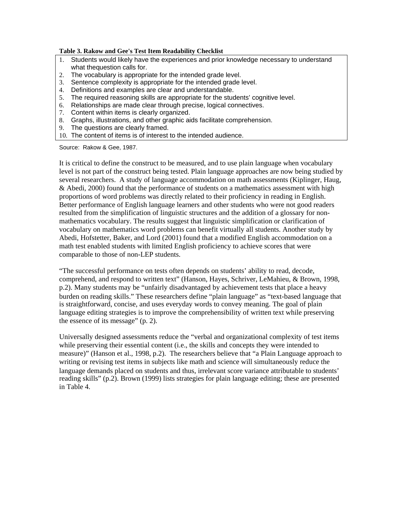#### **Table 3. Rakow and Gee's Test Item Readability Checklist**

- 1. Students would likely have the experiences and prior knowledge necessary to understand what thequestion calls for.
- 2. The vocabulary is appropriate for the intended grade level.
- 3. Sentence complexity is appropriate for the intended grade level.
- 4. Definitions and examples are clear and understandable.
- 5. The required reasoning skills are appropriate for the students' cognitive level.
- 6. Relationships are made clear through precise, logical connectives.
- 7. Content within items is clearly organized.
- 8. Graphs, illustrations, and other graphic aids facilitate comprehension.
- 9. The questions are clearly framed.
- 10. The content of items is of interest to the intended audience.

Source: Rakow & Gee, 1987.

It is critical to define the construct to be measured, and to use plain language when vocabulary level is not part of the construct being tested. Plain language approaches are now being studied by several researchers. A study of language accommodation on math assessments (Kiplinger, Haug, & Abedi, 2000) found that the performance of students on a mathematics assessment with high proportions of word problems was directly related to their proficiency in reading in English. Better performance of English language learners and other students who were not good readers resulted from the simplification of linguistic structures and the addition of a glossary for nonmathematics vocabulary. The results suggest that linguistic simplification or clarification of vocabulary on mathematics word problems can benefit virtually all students. Another study by Abedi, Hofstetter, Baker, and Lord (2001) found that a modified English accommodation on a math test enabled students with limited English proficiency to achieve scores that were comparable to those of non-LEP students.

"The successful performance on tests often depends on students' ability to read, decode, comprehend, and respond to written text" (Hanson, Hayes, Schriver, LeMahieu, & Brown, 1998, p.2). Many students may be "unfairly disadvantaged by achievement tests that place a heavy burden on reading skills." These researchers define "plain language" as "text-based language that is straightforward, concise, and uses everyday words to convey meaning. The goal of plain language editing strategies is to improve the comprehensibility of written text while preserving the essence of its message" (p. 2).

Universally designed assessments reduce the "verbal and organizational complexity of test items while preserving their essential content (i.e., the skills and concepts they were intended to measure)" (Hanson et al., 1998, p.2). The researchers believe that "a Plain Language approach to writing or revising test items in subjects like math and science will simultaneously reduce the language demands placed on students and thus, irrelevant score variance attributable to students' reading skills" (p.2). Brown (1999) lists strategies for plain language editing; these are presented in Table 4.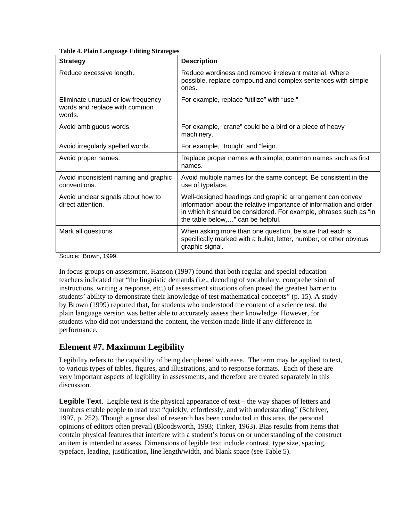| <b>Strategy</b>                                                               | <b>Description</b>                                                                                                                                                                                                                         |
|-------------------------------------------------------------------------------|--------------------------------------------------------------------------------------------------------------------------------------------------------------------------------------------------------------------------------------------|
| Reduce excessive length.                                                      | Reduce wordiness and remove irrelevant material. Where<br>possible, replace compound and complex sentences with simple<br>ones.                                                                                                            |
| Eliminate unusual or low frequency<br>words and replace with common<br>words. | For example, replace "utilize" with "use."                                                                                                                                                                                                 |
| Avoid ambiguous words.                                                        | For example, "crane" could be a bird or a piece of heavy<br>machinery.                                                                                                                                                                     |
| Avoid irregularly spelled words.                                              | For example, "trough" and "feign."                                                                                                                                                                                                         |
| Avoid proper names.                                                           | Replace proper names with simple, common names such as first<br>names.                                                                                                                                                                     |
| Avoid inconsistent naming and graphic<br>conventions.                         | Avoid multiple names for the same concept. Be consistent in the<br>use of typeface.                                                                                                                                                        |
| Avoid unclear signals about how to<br>direct attention.                       | Well-designed headings and graphic arrangement can convey<br>information about the relative importance of information and order<br>in which it should be considered. For example, phrases such as "in<br>the table below," can be helpful. |
| Mark all questions.                                                           | When asking more than one question, be sure that each is<br>specifically marked with a bullet, letter, number, or other obvious<br>graphic signal.                                                                                         |

#### **Table 4. Plain Language Editing Strategies**

Source: Brown, 1999.

In focus groups on assessment, Hanson (1997) found that both regular and special education teachers indicated that "the linguistic demands (i.e., decoding of vocabulary, comprehension of instructions, writing a response, etc.) of assessment situations often posed the greatest barrier to students' ability to demonstrate their knowledge of test mathematical concepts" (p. 15). A study by Brown (1999) reported that, for students who understood the content of a science test, the plain language version was better able to accurately assess their knowledge. However, for students who did not understand the content, the version made little if any difference in performance.

# **Element #7. Maximum Legibility**

Legibility refers to the capability of being deciphered with ease. The term may be applied to text, to various types of tables, figures, and illustrations, and to response formats. Each of these are very important aspects of legibility in assessments, and therefore are treated separately in this discussion.

**Legible Text**. Legible text is the physical appearance of text – the way shapes of letters and numbers enable people to read text "quickly, effortlessly, and with understanding" (Schriver, 1997, p. 252). Though a great deal of research has been conducted in this area, the personal opinions of editors often prevail (Bloodsworth, 1993; Tinker, 1963). Bias results from items that contain physical features that interfere with a student's focus on or understanding of the construct an item is intended to assess. Dimensions of legible text include contrast, type size, spacing, typeface, leading, justification, line length/width, and blank space (see Table 5).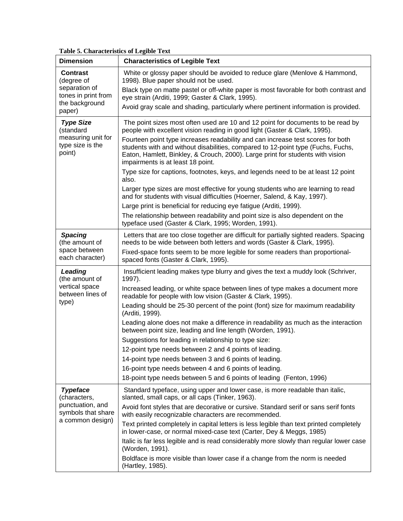#### **Table 5. Characteristics of Legible Text**

| <b>Dimension</b>                                                                                  | <b>Characteristics of Legible Text</b>                                                                                                                                                                                                                                                     |
|---------------------------------------------------------------------------------------------------|--------------------------------------------------------------------------------------------------------------------------------------------------------------------------------------------------------------------------------------------------------------------------------------------|
| <b>Contrast</b><br>(degree of<br>separation of<br>tones in print from<br>the background<br>paper) | White or glossy paper should be avoided to reduce glare (Menlove & Hammond,<br>1998). Blue paper should not be used.                                                                                                                                                                       |
|                                                                                                   | Black type on matte pastel or off-white paper is most favorable for both contrast and<br>eye strain (Arditi, 1999; Gaster & Clark, 1995).                                                                                                                                                  |
|                                                                                                   | Avoid gray scale and shading, particularly where pertinent information is provided.                                                                                                                                                                                                        |
| <b>Type Size</b><br>(standard<br>measuring unit for<br>type size is the<br>point)                 | The point sizes most often used are 10 and 12 point for documents to be read by<br>people with excellent vision reading in good light (Gaster & Clark, 1995).                                                                                                                              |
|                                                                                                   | Fourteen point type increases readability and can increase test scores for both<br>students with and without disabilities, compared to 12-point type (Fuchs, Fuchs,<br>Eaton, Hamlett, Binkley, & Crouch, 2000). Large print for students with vision<br>impairments is at least 18 point. |
|                                                                                                   | Type size for captions, footnotes, keys, and legends need to be at least 12 point<br>also.                                                                                                                                                                                                 |
|                                                                                                   | Larger type sizes are most effective for young students who are learning to read<br>and for students with visual difficulties (Hoerner, Salend, & Kay, 1997).                                                                                                                              |
|                                                                                                   | Large print is beneficial for reducing eye fatigue (Arditi, 1999).                                                                                                                                                                                                                         |
|                                                                                                   | The relationship between readability and point size is also dependent on the<br>typeface used (Gaster & Clark, 1995; Worden, 1991).                                                                                                                                                        |
| <b>Spacing</b><br>(the amount of<br>space between<br>each character)                              | Letters that are too close together are difficult for partially sighted readers. Spacing<br>needs to be wide between both letters and words (Gaster & Clark, 1995).                                                                                                                        |
|                                                                                                   | Fixed-space fonts seem to be more legible for some readers than proportional-<br>spaced fonts (Gaster & Clark, 1995).                                                                                                                                                                      |
| Leading<br>(the amount of<br>vertical space<br>between lines of<br>type)                          | Insufficient leading makes type blurry and gives the text a muddy look (Schriver,<br>1997).                                                                                                                                                                                                |
|                                                                                                   | Increased leading, or white space between lines of type makes a document more<br>readable for people with low vision (Gaster & Clark, 1995).                                                                                                                                               |
|                                                                                                   | Leading should be 25-30 percent of the point (font) size for maximum readability<br>(Arditi, 1999).                                                                                                                                                                                        |
|                                                                                                   | Leading alone does not make a difference in readability as much as the interaction<br>between point size, leading and line length (Worden, 1991).                                                                                                                                          |
|                                                                                                   | Suggestions for leading in relationship to type size:                                                                                                                                                                                                                                      |
|                                                                                                   | 12-point type needs between 2 and 4 points of leading.                                                                                                                                                                                                                                     |
|                                                                                                   | 14-point type needs between 3 and 6 points of leading.                                                                                                                                                                                                                                     |
|                                                                                                   | 16-point type needs between 4 and 6 points of leading.                                                                                                                                                                                                                                     |
|                                                                                                   | 18-point type needs between 5 and 6 points of leading (Fenton, 1996)                                                                                                                                                                                                                       |
| <b>Typeface</b><br>(characters,<br>punctuation, and<br>symbols that share<br>a common design)     | Standard typeface, using upper and lower case, is more readable than italic,<br>slanted, small caps, or all caps (Tinker, 1963).                                                                                                                                                           |
|                                                                                                   | Avoid font styles that are decorative or cursive. Standard serif or sans serif fonts<br>with easily recognizable characters are recommended.                                                                                                                                               |
|                                                                                                   | Text printed completely in capital letters is less legible than text printed completely<br>in lower-case, or normal mixed-case text (Carter, Dey & Meggs, 1985)                                                                                                                            |
|                                                                                                   | Italic is far less legible and is read considerably more slowly than regular lower case<br>(Worden, 1991).                                                                                                                                                                                 |
|                                                                                                   | Boldface is more visible than lower case if a change from the norm is needed<br>(Hartley, 1985).                                                                                                                                                                                           |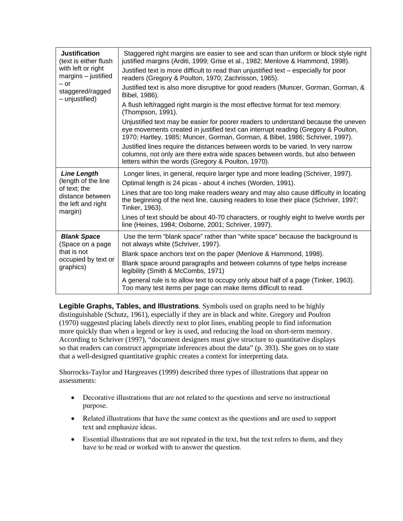| <b>Justification</b><br>(text is either flush<br>with left or right<br>margins - justified<br>$-$ or<br>staggered/ragged<br>- unjustified) | Staggered right margins are easier to see and scan than uniform or block style right<br>justified margins (Arditi, 1999; Grise et al., 1982; Menlove & Hammond, 1998).<br>Justified text is more difficult to read than unjustified text - especially for poor<br>readers (Gregory & Poulton, 1970; Zachrisson, 1965). |
|--------------------------------------------------------------------------------------------------------------------------------------------|------------------------------------------------------------------------------------------------------------------------------------------------------------------------------------------------------------------------------------------------------------------------------------------------------------------------|
|                                                                                                                                            | Justified text is also more disruptive for good readers (Muncer, Gorman, Gorman, &<br>Bibel, 1986).                                                                                                                                                                                                                    |
|                                                                                                                                            | A flush left/ragged right margin is the most effective format for text memory.<br>(Thompson, 1991).                                                                                                                                                                                                                    |
|                                                                                                                                            | Unjustified text may be easier for poorer readers to understand because the uneven<br>eye movements created in justified text can interrupt reading (Gregory & Poulton,<br>1970; Hartley, 1985; Muncer, Gorman, Gorman, & Bibel, 1986; Schriver, 1997).                                                                |
|                                                                                                                                            | Justified lines require the distances between words to be varied. In very narrow<br>columns, not only are there extra wide spaces between words, but also between<br>letters within the words (Gregory & Poulton, 1970).                                                                                               |
| <b>Line Length</b><br>(length of the line<br>of text; the<br>distance between<br>the left and right<br>margin)                             | Longer lines, in general, require larger type and more leading (Schriver, 1997).                                                                                                                                                                                                                                       |
|                                                                                                                                            | Optimal length is 24 picas - about 4 inches (Worden, 1991).                                                                                                                                                                                                                                                            |
|                                                                                                                                            | Lines that are too long make readers weary and may also cause difficulty in locating<br>the beginning of the next line, causing readers to lose their place (Schriver, 1997;<br>Tinker, 1963).                                                                                                                         |
|                                                                                                                                            | Lines of text should be about 40-70 characters, or roughly eight to twelve words per<br>line (Heines, 1984; Osborne, 2001; Schriver, 1997).                                                                                                                                                                            |
| <b>Blank Space</b><br>(Space on a page<br>that is not<br>occupied by text or<br>graphics)                                                  | Use the term "blank space" rather than "white space" because the background is<br>not always white (Schriver, 1997).                                                                                                                                                                                                   |
|                                                                                                                                            | Blank space anchors text on the paper (Menlove & Hammond, 1998).                                                                                                                                                                                                                                                       |
|                                                                                                                                            | Blank space around paragraphs and between columns of type helps increase<br>legibility (Smith & McCombs, 1971)                                                                                                                                                                                                         |
|                                                                                                                                            | A general rule is to allow text to occupy only about half of a page (Tinker, 1963).<br>Too many test items per page can make items difficult to read.                                                                                                                                                                  |

**Legible Graphs, Tables, and Illustrations**. Symbols used on graphs need to be highly distinguishable (Schutz, 1961), especially if they are in black and white. Gregory and Poulton (1970) suggested placing labels directly next to plot lines, enabling people to find information more quickly than when a legend or key is used, and reducing the load on short-term memory. According to Schriver (1997), "document designers must give structure to quantitative displays so that readers can construct appropriate inferences about the data" (p. 393). She goes on to state that a well-designed quantitative graphic creates a context for interpreting data.

Shorrocks-Taylor and Hargreaves (1999) described three types of illustrations that appear on assessments:

- Decorative illustrations that are not related to the questions and serve no instructional purpose.
- Related illustrations that have the same context as the questions and are used to support text and emphasize ideas.
- Essential illustrations that are not repeated in the text, but the text refers to them, and they have to be read or worked with to answer the question.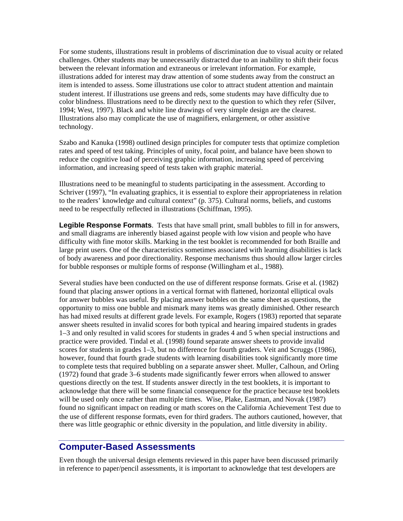For some students, illustrations result in problems of discrimination due to visual acuity or related challenges. Other students may be unnecessarily distracted due to an inability to shift their focus between the relevant information and extraneous or irrelevant information. For example, illustrations added for interest may draw attention of some students away from the construct an item is intended to assess. Some illustrations use color to attract student attention and maintain student interest. If illustrations use greens and reds, some students may have difficulty due to color blindness. Illustrations need to be directly next to the question to which they refer (Silver, 1994; West, 1997). Black and white line drawings of very simple design are the clearest. Illustrations also may complicate the use of magnifiers, enlargement, or other assistive technology.

Szabo and Kanuka (1998) outlined design principles for computer tests that optimize completion rates and speed of test taking. Principles of unity, focal point, and balance have been shown to reduce the cognitive load of perceiving graphic information, increasing speed of perceiving information, and increasing speed of tests taken with graphic material.

Illustrations need to be meaningful to students participating in the assessment. According to Schriver (1997), "In evaluating graphics, it is essential to explore their appropriateness in relation to the readers' knowledge and cultural context" (p. 375). Cultural norms, beliefs, and customs need to be respectfully reflected in illustrations (Schiffman, 1995).

**Legible Response Formats**. Tests that have small print, small bubbles to fill in for answers, and small diagrams are inherently biased against people with low vision and people who have difficulty with fine motor skills. Marking in the test booklet is recommended for both Braille and large print users. One of the characteristics sometimes associated with learning disabilities is lack of body awareness and poor directionality. Response mechanisms thus should allow larger circles for bubble responses or multiple forms of response (Willingham et al., 1988).

 there was little geographic or ethnic diversity in the population, and little diversity in ability. Several studies have been conducted on the use of different response formats. Grise et al. (1982) found that placing answer options in a vertical format with flattened, horizontal elliptical ovals for answer bubbles was useful. By placing answer bubbles on the same sheet as questions, the opportunity to miss one bubble and mismark many items was greatly diminished. Other research has had mixed results at different grade levels. For example, Rogers (1983) reported that separate answer sheets resulted in invalid scores for both typical and hearing impaired students in grades 1–3 and only resulted in valid scores for students in grades 4 and 5 when special instructions and practice were provided. Tindal et al. (1998) found separate answer sheets to provide invalid scores for students in grades 1–3, but no difference for fourth graders. Veit and Scruggs (1986), however, found that fourth grade students with learning disabilities took significantly more time to complete tests that required bubbling on a separate answer sheet. Muller, Calhoun, and Orling (1972) found that grade 3–6 students made significantly fewer errors when allowed to answer questions directly on the test. If students answer directly in the test booklets, it is important to acknowledge that there will be some financial consequence for the practice because test booklets will be used only once rather than multiple times. Wise, Plake, Eastman, and Novak (1987) found no significant impact on reading or math scores on the California Achievement Test due to the use of different response formats, even for third graders. The authors cautioned, however, that

### **Computer-Based Assessments**

Even though the universal design elements reviewed in this paper have been discussed primarily in reference to paper/pencil assessments, it is important to acknowledge that test developers are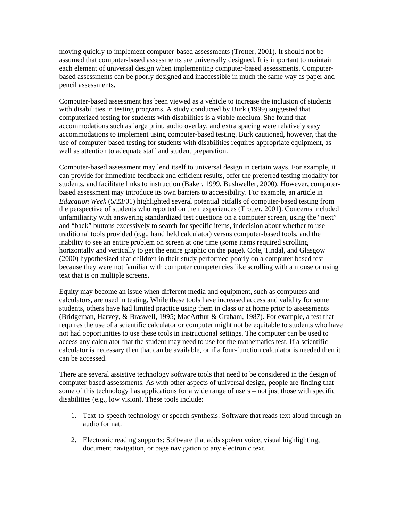moving quickly to implement computer-based assessments (Trotter, 2001). It should not be assumed that computer-based assessments are universally designed. It is important to maintain each element of universal design when implementing computer-based assessments. Computerbased assessments can be poorly designed and inaccessible in much the same way as paper and pencil assessments.

Computer-based assessment has been viewed as a vehicle to increase the inclusion of students with disabilities in testing programs. A study conducted by Burk (1999) suggested that computerized testing for students with disabilities is a viable medium. She found that accommodations such as large print, audio overlay, and extra spacing were relatively easy accommodations to implement using computer-based testing. Burk cautioned, however, that the use of computer-based testing for students with disabilities requires appropriate equipment, as well as attention to adequate staff and student preparation.

Computer-based assessment may lend itself to universal design in certain ways. For example, it can provide for immediate feedback and efficient results, offer the preferred testing modality for students, and facilitate links to instruction (Baker, 1999, Bushweller, 2000). However, computerbased assessment may introduce its own barriers to accessibility. For example, an article in *Education Week* (5/23/01) highlighted several potential pitfalls of computer-based testing from the perspective of students who reported on their experiences (Trotter, 2001). Concerns included unfamiliarity with answering standardized test questions on a computer screen, using the "next" and "back" buttons excessively to search for specific items, indecision about whether to use traditional tools provided (e.g., hand held calculator) versus computer-based tools, and the inability to see an entire problem on screen at one time (some items required scrolling horizontally and vertically to get the entire graphic on the page). Cole, Tindal, and Glasgow (2000) hypothesized that children in their study performed poorly on a computer-based test because they were not familiar with computer competencies like scrolling with a mouse or using text that is on multiple screens.

Equity may become an issue when different media and equipment, such as computers and calculators, are used in testing. While these tools have increased access and validity for some students, others have had limited practice using them in class or at home prior to assessments (Bridgeman, Harvey, & Braswell, 1995; MacArthur & Graham, 1987). For example, a test that requires the use of a scientific calculator or computer might not be equitable to students who have not had opportunities to use these tools in instructional settings. The computer can be used to access any calculator that the student may need to use for the mathematics test. If a scientific calculator is necessary then that can be available, or if a four-function calculator is needed then it can be accessed.

There are several assistive technology software tools that need to be considered in the design of computer-based assessments. As with other aspects of universal design, people are finding that some of this technology has applications for a wide range of users – not just those with specific disabilities (e.g., low vision). These tools include:

- 1. Text-to-speech technology or speech synthesis: Software that reads text aloud through an audio format.
- 2. Electronic reading supports: Software that adds spoken voice, visual highlighting, document navigation, or page navigation to any electronic text.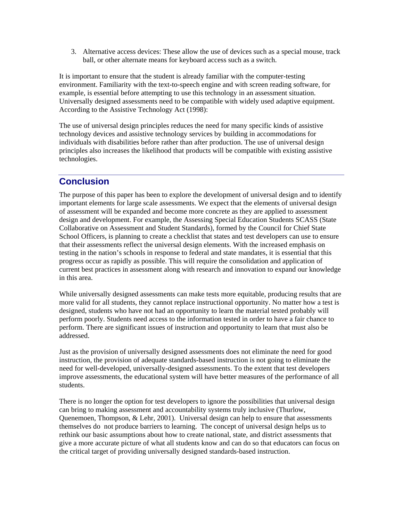ball, or other alternate means for keyboard access such as a switch. 3. Alternative access devices: These allow the use of devices such as a special mouse, track

It is important to ensure that the student is already familiar with the computer-testing environment. Familiarity with the text-to-speech engine and with screen reading software, for example, is essential before attempting to use this technology in an assessment situation. Universally designed assessments need to be compatible with widely used adaptive equipment. According to the Assistive Technology Act (1998):

The use of universal design principles reduces the need for many specific kinds of assistive technology devices and assistive technology services by building in accommodations for individuals with disabilities before rather than after production. The use of universal design principles also increases the likelihood that products will be compatible with existing assistive technologies.

# **Conclusion**

The purpose of this paper has been to explore the development of universal design and to identify important elements for large scale assessments. We expect that the elements of universal design of assessment will be expanded and become more concrete as they are applied to assessment design and development. For example, the Assessing Special Education Students SCASS (State Collaborative on Assessment and Student Standards), formed by the Council for Chief State School Officers, is planning to create a checklist that states and test developers can use to ensure that their assessments reflect the universal design elements. With the increased emphasis on testing in the nation's schools in response to federal and state mandates, it is essential that this progress occur as rapidly as possible. This will require the consolidation and application of current best practices in assessment along with research and innovation to expand our knowledge in this area.

While universally designed assessments can make tests more equitable, producing results that are more valid for all students, they cannot replace instructional opportunity. No matter how a test is designed, students who have not had an opportunity to learn the material tested probably will perform poorly. Students need access to the information tested in order to have a fair chance to perform. There are significant issues of instruction and opportunity to learn that must also be addressed.

Just as the provision of universally designed assessments does not eliminate the need for good instruction, the provision of adequate standards-based instruction is not going to eliminate the need for well-developed, universally-designed assessments. To the extent that test developers improve assessments, the educational system will have better measures of the performance of all students.

There is no longer the option for test developers to ignore the possibilities that universal design can bring to making assessment and accountability systems truly inclusive (Thurlow, Quenemoen, Thompson,  $&$  Lehr, 2001). Universal design can help to ensure that assessments themselves do not produce barriers to learning. The concept of universal design helps us to rethink our basic assumptions about how to create national, state, and district assessments that give a more accurate picture of what all students know and can do so that educators can focus on the critical target of providing universally designed standards-based instruction.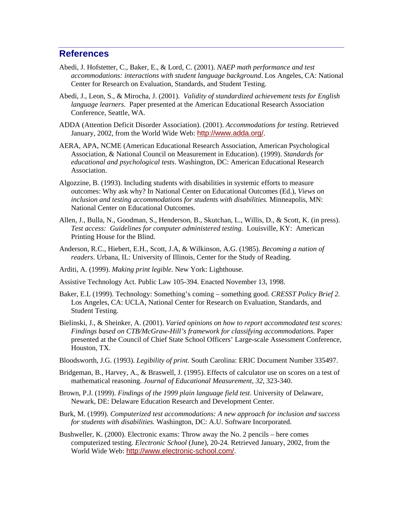#### **References**

- Abedi, J. Hofstetter, C., Baker, E., & Lord, C. (2001). *NAEP math performance and test accommodations: interactions with student language background*. Los Angeles, CA: National Center for Research on Evaluation, Standards, and Student Testing.
- Abedi, J., Leon, S., & Mirocha, J. (2001). *Validity of standardized achievement tests for English language learners*. Paper presented at the American Educational Research Association Conference, Seattle, WA.
- ADDA (Attention Deficit Disorder Association). (2001). *Accommodations for testing*. Retrieved January, 2002, from the World Wide Web: <http://www.adda.org/>.
- AERA, APA, NCME (American Educational Research Association, American Psychological Association, & National Council on Measurement in Education). (1999). *Standards for educational and psychological tests*. Washington, DC: American Educational Research Association.
- Algozzine, B. (1993). Including students with disabilities in systemic efforts to measure outcomes: Why ask why? In National Center on Educational Outcomes (Ed.), *Views on inclusion and testing accommodations for students with disabilities.* Minneapolis, MN: National Center on Educational Outcomes.
- Allen, J., Bulla, N., Goodman, S., Henderson, B., Skutchan, L., Willis, D., & Scott, K. (in press). *Test access: Guidelines for computer administered testing.* Louisville, KY: American Printing House for the Blind.
- Anderson, R.C., Hiebert, E.H., Scott, J.A, & Wilkinson, A.G. (1985). *Becoming a nation of readers*. Urbana, IL: University of Illinois, Center for the Study of Reading.
- Arditi, A. (1999). *Making print legible.* New York: Lighthouse.

Assistive Technology Act. Public Law 105-394. Enacted November 13, 1998.

- Baker, E.L (1999). Technology: Something's coming something good. *CRESST Policy Brief 2.*  Los Angeles, CA: UCLA, National Center for Research on Evaluation, Standards, and Student Testing.
- Bielinski, J., & Sheinker, A. (2001). *Varied opinions on how to report accommodated test scores: Findings based on CTB/McGraw-Hill's framework for classifying accommodations*. Paper presented at the Council of Chief State School Officers' Large-scale Assessment Conference, Houston, TX.
- Bloodsworth, J.G. (1993). *Legibility of print.* South Carolina: ERIC Document Number 335497.
- Bridgeman, B., Harvey, A., & Braswell, J. (1995). Effects of calculator use on scores on a test of mathematical reasoning. *Journal of Educational Measurement, 32,* 323-340.
- Brown, P.J. (1999). *Findings of the 1999 plain language field test*. University of Delaware, Newark, DE: Delaware Education Research and Development Center.
- Burk, M. (1999). *Computerized test accommodations: A new approach for inclusion and success for students with disabilities.* Washington, DC: A.U. Software Incorporated.
- Bushweller, K. (2000). Electronic exams: Throw away the No. 2 pencils here comes computerized testing. *Electronic School* (June), 20-24. Retrieved January, 2002, from the World Wide Web: <http://www.electronic-school.com/>.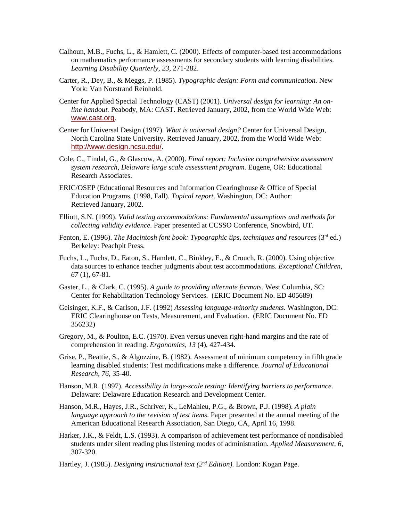- Calhoun, M.B., Fuchs, L., & Hamlett, C. (2000). Effects of computer-based test accommodations on mathematics performance assessments for secondary students with learning disabilities. *Learning Disability Quarterly, 23,* 271-282.
- Carter, R., Dey, B., & Meggs, P. (1985). *Typographic design: Form and communication.* New York: Van Norstrand Reinhold.
- Center for Applied Special Technology (CAST) (2001). *Universal design for learning: An online handout.* Peabody, MA: CAST. Retrieved January, 2002, from the World Wide Web: [www.cast.org](http://www.cast.org).
- Center for Universal Design (1997). *What is universal design?* Center for Universal Design, North Carolina State University. Retrieved January, 2002, from the World Wide Web: <http://www.design.ncsu.edu/>.
- Cole, C., Tindal, G., & Glascow, A. (2000). *Final report: Inclusive comprehensive assessment system research, Delaware large scale assessment program.* Eugene, OR: Educational Research Associates.
- ERIC/OSEP (Educational Resources and Information Clearinghouse & Office of Special Education Programs. (1998, Fall). *Topical report*. Washington, DC: Author: Retrieved January, 2002.
- Elliott, S.N. (1999). *Valid testing accommodations: Fundamental assumptions and methods for collecting validity evidence.* Paper presented at CCSSO Conference, Snowbird, UT.
- Fenton, E. (1996). *The Macintosh font book: Typographic tips, techniques and resources* (3<sup>rd</sup> ed.) Berkeley: Peachpit Press.
- Fuchs, L., Fuchs, D., Eaton, S., Hamlett, C., Binkley, E., & Crouch, R. (2000). Using objective data sources to enhance teacher judgments about test accommodations. *Exceptional Children, 67* (1), 67-81.
- Gaster, L., & Clark, C. (1995). *A guide to providing alternate formats.* West Columbia, SC: Center for Rehabilitation Technology Services. (ERIC Document No. ED 405689)
- Geisinger, K.F., & Carlson, J.F. (1992) *Assessing language-minority students*. Washington, DC: ERIC Clearinghouse on Tests, Measurement, and Evaluation. (ERIC Document No. ED 356232)
- Gregory, M., & Poulton, E.C. (1970). Even versus uneven right-hand margins and the rate of comprehension in reading. *Ergonomics, 13* (4), 427-434.
- Grise, P., Beattie, S., & Algozzine, B. (1982). Assessment of minimum competency in fifth grade learning disabled students: Test modifications make a difference. *Journal of Educational Research, 76,* 35-40.
- Hanson, M.R. (1997). *Accessibility in large-scale testing: Identifying barriers to performance*. Delaware: Delaware Education Research and Development Center.
- Hanson, M.R., Hayes, J.R., Schriver, K., LeMahieu, P.G., & Brown, P.J. (1998). *A plain language approach to the revision of test items*. Paper presented at the annual meeting of the American Educational Research Association, San Diego, CA, April 16, 1998.
- Harker, J.K., & Feldt, L.S. (1993). A comparison of achievement test performance of nondisabled students under silent reading plus listening modes of administration. *Applied Measurement, 6,*  307-320.
- Hartley, J. (1985). *Designing instructional text (2nd Edition).* London: Kogan Page.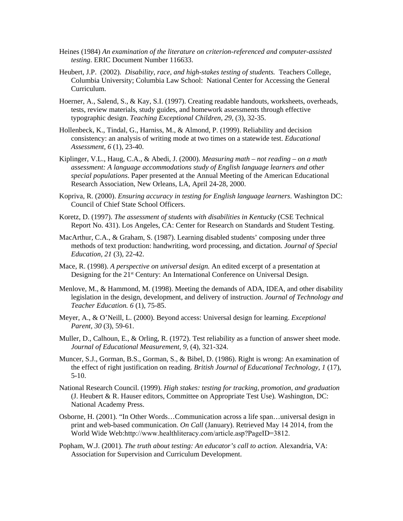- Heines (1984) *An examination of the literature on criterion-referenced and computer-assisted testing*. ERIC Document Number 116633.
- Heubert, J.P. (2002). *Disability, race, and high-stakes testing of students.* Teachers College, Columbia University; Columbia Law School: National Center for Accessing the General Curriculum.
- Hoerner, A., Salend, S., & Kay, S.I. (1997). Creating readable handouts, worksheets, overheads, tests, review materials, study guides, and homework assessments through effective typographic design. *Teaching Exceptional Children, 29,* (3), 32-35.
- Hollenbeck, K., Tindal, G., Harniss, M., & Almond, P. (1999). Reliability and decision consistency: an analysis of writing mode at two times on a statewide test. *Educational Assessment, 6* (1), 23-40.
- Kiplinger, V.L., Haug, C.A., & Abedi, J. (2000). *Measuring math not reading on a math assessment: A language accommodations study of English language learners and other special populations*. Paper presented at the Annual Meeting of the American Educational Research Association, New Orleans, LA, April 24-28, 2000.
- Kopriva, R. (2000). *Ensuring accuracy in testing for English language learners*. Washington DC: Council of Chief State School Officers.
- Koretz, D. (1997). *The assessment of students with disabilities in Kentucky* (CSE Technical Report No. 431). Los Angeles, CA: Center for Research on Standards and Student Testing.
- MacArthur, C.A., & Graham, S. (1987). Learning disabled students' composing under three methods of text production: handwriting, word processing, and dictation. *Journal of Special Education, 21* (3), 22-42.
- Mace, R. (1998). *A perspective on universal design.* An edited excerpt of a presentation at Designing for the 21<sup>st</sup> Century: An International Conference on Universal Design.
- Menlove, M., & Hammond, M. (1998). Meeting the demands of ADA, IDEA, and other disability legislation in the design, development, and delivery of instruction. *Journal of Technology and Teacher Education. 6* (1), 75-85.
- Meyer, A., & O'Neill, L. (2000). Beyond access: Universal design for learning. *Exceptional Parent, 30* (3), 59-61.
- Muller, D., Calhoun, E., & Orling, R. (1972). Test reliability as a function of answer sheet mode. *Journal of Educational Measurement, 9,* (4), 321-324.
- Muncer, S.J., Gorman, B.S., Gorman, S., & Bibel, D. (1986). Right is wrong: An examination of the effect of right justification on reading. *British Journal of Educational Technology, 1* (17), 5-10.
- National Research Council. (1999). *High stakes: testing for tracking, promotion, and graduation*  (J. Heubert & R. Hauser editors, Committee on Appropriate Test Use)*.* Washington, DC: National Academy Press.
- Osborne, H. (2001). "In Other Words…Communication across a life span…universal design in print and web-based communication. *On Call* (January). Retrieved May 14 2014, from the World Wide Web:[http://www.healthliteracy.com/article.asp?PageID=3812.](http://www.healthliteracy.com/article.asp?PageID=3812)
- Popham, W.J. (2001). *The truth about testing: An educator's call to action.* Alexandria, VA: Association for Supervision and Curriculum Development.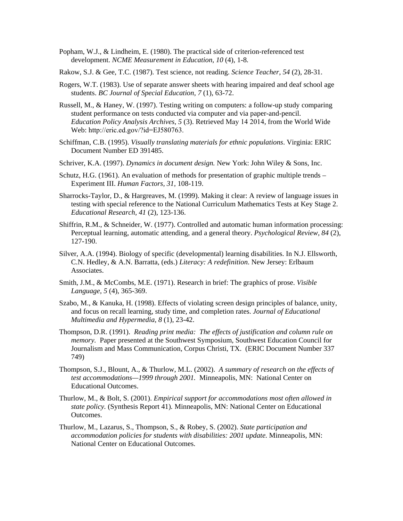- development. *NCME Measurement in Education, 10* (4), 1-8*.* Popham, W.J., & Lindheim, E. (1980). The practical side of criterion-referenced test
- Rakow, S.J. & Gee, T.C. (1987). Test science, not reading. *Science Teacher, 54* (2), 28-31.
- Rogers, W.T. (1983). Use of separate answer sheets with hearing impaired and deaf school age students. *BC Journal of Special Education, 7* (1), 63-72.
- Russell, M., & Haney, W. (1997). Testing writing on computers: a follow-up study comparing student performance on tests conducted via computer and via paper-and-pencil. *Education Policy Analysis Archives, 5* (3). Retrieved May 14 2014, from the World Wide Web: [http://eric.ed.gov/?id=EJ580763.](http://eric.ed.gov/?id=EJ580763)
- Schiffman, C.B. (1995). *Visually translating materials for ethnic populations*. Virginia: ERIC Document Number ED 391485.
- Schriver, K.A. (1997). *Dynamics in document design.* New York: John Wiley & Sons, Inc.
- Schutz, H.G. (1961). An evaluation of methods for presentation of graphic multiple trends Experiment III. *Human Factors, 31,* 108-119.
- Sharrocks-Taylor, D., & Hargreaves, M. (1999). Making it clear: A review of language issues in testing with special reference to the National Curriculum Mathematics Tests at Key Stage 2. *Educational Research, 41* (2), 123-136.
- Shiffrin, R.M., & Schneider, W. (1977). Controlled and automatic human information processing: Perceptual learning, automatic attending, and a general theory. *Psychological Review, 84* (2), 127-190.
- Silver, A.A. (1994). Biology of specific (developmental) learning disabilities. In N.J. Ellsworth, C.N. Hedley, & A.N. Barratta, (eds.) *Literacy: A redefinition*. New Jersey: Erlbaum Associates.
- Smith, J.M., & McCombs, M.E. (1971). Research in brief: The graphics of prose. *Visible Language, 5* (4), 365-369.
- Szabo, M., & Kanuka, H. (1998). Effects of violating screen design principles of balance, unity, and focus on recall learning, study time, and completion rates. *Journal of Educational Multimedia and Hypermedia, 8* (1), 23-42.
- Thompson, D.R. (1991). *Reading print media: The effects of justification and column rule on memory.* Paper presented at the Southwest Symposium, Southwest Education Council for Journalism and Mass Communication, Corpus Christi, TX. (ERIC Document Number 337 749)
- Thompson, S.J., Blount, A., & Thurlow, M.L. (2002). *A summary of research on the effects of test accommodations—1999 through 2001.* Minneapolis, MN: National Center on Educational Outcomes.
- Thurlow, M., & Bolt, S. (2001). *Empirical support for accommodations most often allowed in state policy.* (Synthesis Report 41)*.* Minneapolis, MN: National Center on Educational Outcomes.
- Thurlow, M., Lazarus, S., Thompson, S., & Robey, S. (2002). *State participation and accommodation policies for students with disabilities: 2001 update.* Minneapolis, MN: National Center on Educational Outcomes.